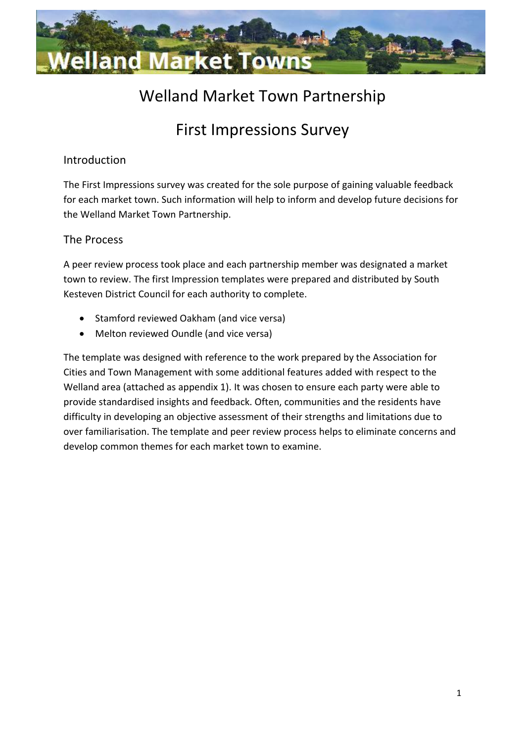

# Welland Market Town Partnership

# First Impressions Survey

# Introduction

The First Impressions survey was created for the sole purpose of gaining valuable feedback for each market town. Such information will help to inform and develop future decisions for the Welland Market Town Partnership.

# The Process

A peer review process took place and each partnership member was designated a market town to review. The first Impression templates were prepared and distributed by South Kesteven District Council for each authority to complete.

- Stamford reviewed Oakham (and vice versa)
- Melton reviewed Oundle (and vice versa)

The template was designed with reference to the work prepared by the Association for Cities and Town Management with some additional features added with respect to the Welland area (attached as appendix 1). It was chosen to ensure each party were able to provide standardised insights and feedback. Often, communities and the residents have difficulty in developing an objective assessment of their strengths and limitations due to over familiarisation. The template and peer review process helps to eliminate concerns and develop common themes for each market town to examine.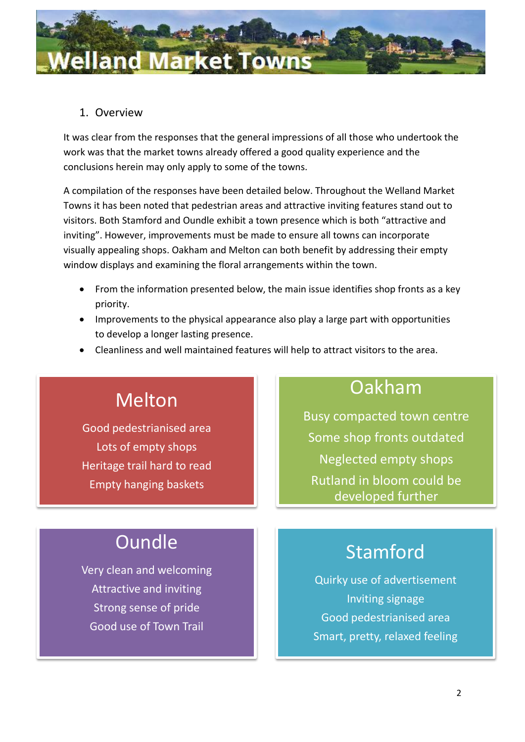

# 1. Overview

It was clear from the responses that the general impressions of all those who undertook the work was that the market towns already offered a good quality experience and the conclusions herein may only apply to some of the towns.

A compilation of the responses have been detailed below. Throughout the Welland Market Towns it has been noted that pedestrian areas and attractive inviting features stand out to visitors. Both Stamford and Oundle exhibit a town presence which is both "attractive and inviting". However, improvements must be made to ensure all towns can incorporate visually appealing shops. Oakham and Melton can both benefit by addressing their empty window displays and examining the floral arrangements within the town.

- From the information presented below, the main issue identifies shop fronts as a key priority.
- Improvements to the physical appearance also play a large part with opportunities to develop a longer lasting presence.
- Cleanliness and well maintained features will help to attract visitors to the area.

# Melton

Good pedestrianised area Lots of empty shops Heritage trail hard to read Empty hanging baskets

# Oakham

Busy compacted town centre Some shop fronts outdated Neglected empty shops Rutland in bloom could be developed further

# **Oundle**

Very clean and welcoming Attractive and inviting Strong sense of pride Good use of Town Trail

# Stamford

Quirky use of advertisement Inviting signage Good pedestrianised area Smart, pretty, relaxed feeling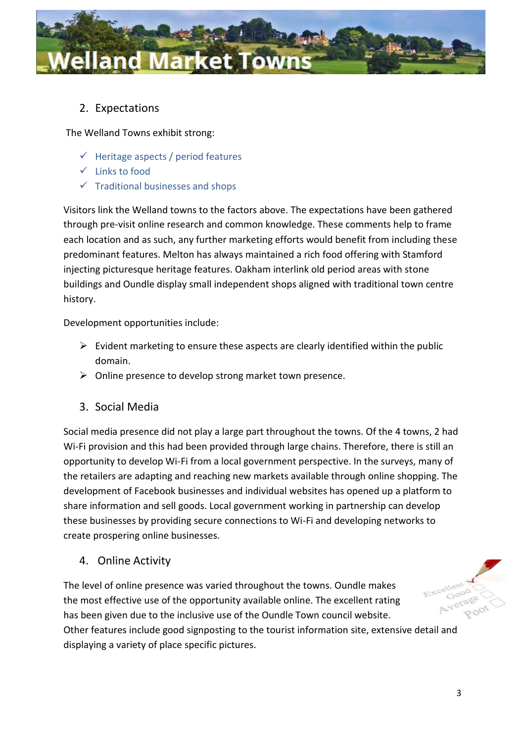

# 2. Expectations

The Welland Towns exhibit strong:

- $\checkmark$  Heritage aspects / period features
- $\checkmark$  Links to food
- $\checkmark$  Traditional businesses and shops

Visitors link the Welland towns to the factors above. The expectations have been gathered through pre-visit online research and common knowledge. These comments help to frame each location and as such, any further marketing efforts would benefit from including these predominant features. Melton has always maintained a rich food offering with Stamford injecting picturesque heritage features. Oakham interlink old period areas with stone buildings and Oundle display small independent shops aligned with traditional town centre history.

Development opportunities include:

- $\triangleright$  Evident marketing to ensure these aspects are clearly identified within the public domain.
- $\triangleright$  Online presence to develop strong market town presence.
- 3. Social Media

Social media presence did not play a large part throughout the towns. Of the 4 towns, 2 had Wi-Fi provision and this had been provided through large chains. Therefore, there is still an opportunity to develop Wi-Fi from a local government perspective. In the surveys, many of the retailers are adapting and reaching new markets available through online shopping. The development of Facebook businesses and individual websites has opened up a platform to share information and sell goods. Local government working in partnership can develop these businesses by providing secure connections to Wi-Fi and developing networks to create prospering online businesses.

4. Online Activity

The level of online presence was varied throughout the towns. Oundle makes the most effective use of the opportunity available online. The excellent rating has been given due to the inclusive use of the Oundle Town council website. Other features include good signposting to the tourist information site, extensive detail and displaying a variety of place specific pictures.

3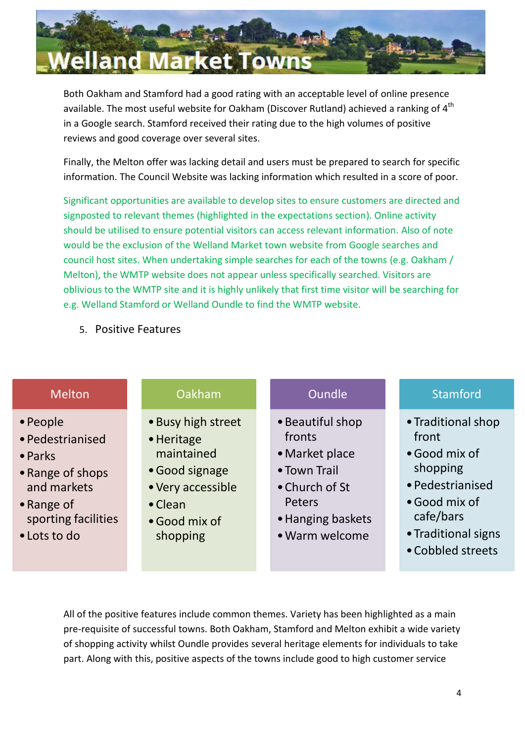

Both Oakham and Stamford had a good rating with an acceptable level of online presence available. The most useful website for Oakham (Discover Rutland) achieved a ranking of 4<sup>th</sup> in a Google search. Stamford received their rating due to the high volumes of positive reviews and good coverage over several sites.

Finally, the Melton offer was lacking detail and users must be prepared to search for specific information. The Council Website was lacking information which resulted in a score of poor.

Significant opportunities are available to develop sites to ensure customers are directed and signposted to relevant themes (highlighted in the expectations section). Online activity should be utilised to ensure potential visitors can access relevant information. Also of note would be the exclusion of the Welland Market town website from Google searches and council host sites. When undertaking simple searches for each of the towns (e.g. Oakham / Melton), the WMTP website does not appear unless specifically searched. Visitors are oblivious to the WMTP site and it is highly unlikely that first time visitor will be searching for e.g. Welland Stamford or Welland Oundle to find the WMTP website.

5. Positive Features

| <b>Melton</b>                                                              | Oakham                                                                                | <b>Oundle</b>                                                                  | <b>Stamford</b>                                                              |
|----------------------------------------------------------------------------|---------------------------------------------------------------------------------------|--------------------------------------------------------------------------------|------------------------------------------------------------------------------|
| • People<br>· Pedestrianised<br>• Parks<br>• Range of shops<br>and markets | • Busy high street<br>• Heritage<br>maintained<br>• Good signage<br>• Very accessible | • Beautiful shop<br>fronts<br>• Market place<br>• Town Trail<br>• Church of St | • Traditional shop<br>front<br>• Good mix of<br>shopping<br>· Pedestrianised |
| • Range of                                                                 | • Clean                                                                               | Peters                                                                         | · Good mix of                                                                |

- sporting facilities
- •Lots to do
- 
- •Good mix of shopping
- •Hanging baskets
- •Warm welcome
- cafe/bars
- •Traditional signs
- •Cobbled streets

All of the positive features include common themes. Variety has been highlighted as a main pre-requisite of successful towns. Both Oakham, Stamford and Melton exhibit a wide variety of shopping activity whilst Oundle provides several heritage elements for individuals to take part. Along with this, positive aspects of the towns include good to high customer service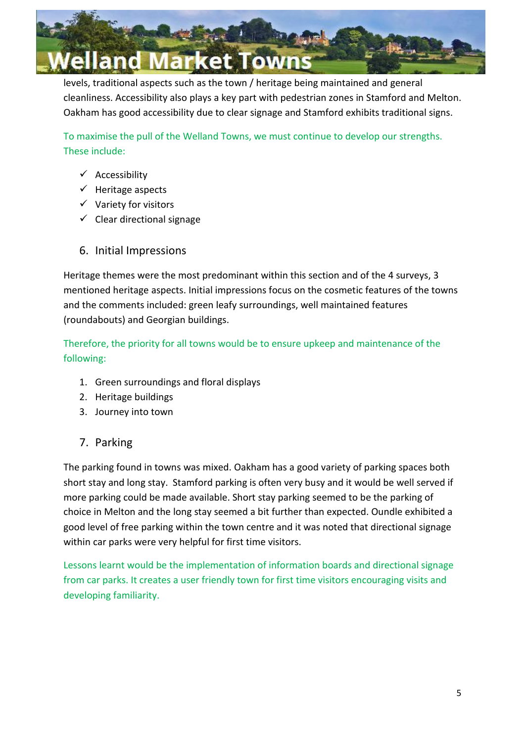

levels, traditional aspects such as the town / heritage being maintained and general cleanliness. Accessibility also plays a key part with pedestrian zones in Stamford and Melton. Oakham has good accessibility due to clear signage and Stamford exhibits traditional signs.

To maximise the pull of the Welland Towns, we must continue to develop our strengths. These include:

- $\checkmark$  Accessibility
- $\checkmark$  Heritage aspects
- $\checkmark$  Variety for visitors
- $\checkmark$  Clear directional signage
- 6. Initial Impressions

Heritage themes were the most predominant within this section and of the 4 surveys, 3 mentioned heritage aspects. Initial impressions focus on the cosmetic features of the towns and the comments included: green leafy surroundings, well maintained features (roundabouts) and Georgian buildings.

Therefore, the priority for all towns would be to ensure upkeep and maintenance of the following:

- 1. Green surroundings and floral displays
- 2. Heritage buildings
- 3. Journey into town
- 7. Parking

The parking found in towns was mixed. Oakham has a good variety of parking spaces both short stay and long stay. Stamford parking is often very busy and it would be well served if more parking could be made available. Short stay parking seemed to be the parking of choice in Melton and the long stay seemed a bit further than expected. Oundle exhibited a good level of free parking within the town centre and it was noted that directional signage within car parks were very helpful for first time visitors.

Lessons learnt would be the implementation of information boards and directional signage from car parks. It creates a user friendly town for first time visitors encouraging visits and developing familiarity.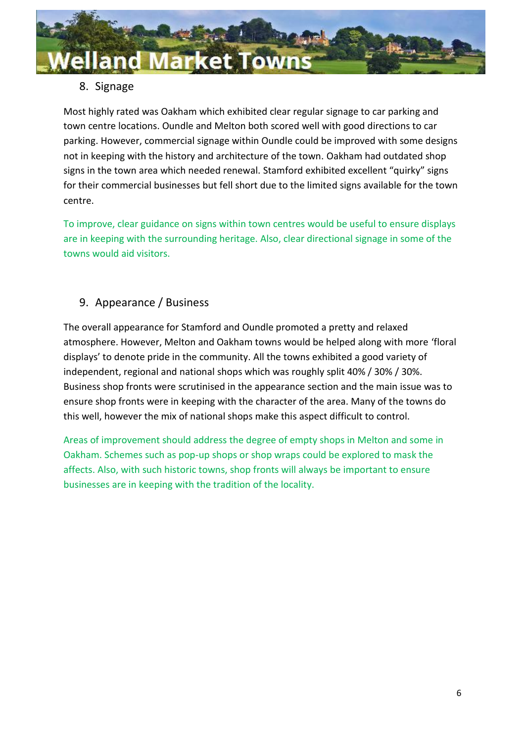

# 8. Signage

Most highly rated was Oakham which exhibited clear regular signage to car parking and town centre locations. Oundle and Melton both scored well with good directions to car parking. However, commercial signage within Oundle could be improved with some designs not in keeping with the history and architecture of the town. Oakham had outdated shop signs in the town area which needed renewal. Stamford exhibited excellent "quirky" signs for their commercial businesses but fell short due to the limited signs available for the town centre.

To improve, clear guidance on signs within town centres would be useful to ensure displays are in keeping with the surrounding heritage. Also, clear directional signage in some of the towns would aid visitors.

# 9. Appearance / Business

The overall appearance for Stamford and Oundle promoted a pretty and relaxed atmosphere. However, Melton and Oakham towns would be helped along with more 'floral displays' to denote pride in the community. All the towns exhibited a good variety of independent, regional and national shops which was roughly split 40% / 30% / 30%. Business shop fronts were scrutinised in the appearance section and the main issue was to ensure shop fronts were in keeping with the character of the area. Many of the towns do this well, however the mix of national shops make this aspect difficult to control.

Areas of improvement should address the degree of empty shops in Melton and some in Oakham. Schemes such as pop-up shops or shop wraps could be explored to mask the affects. Also, with such historic towns, shop fronts will always be important to ensure businesses are in keeping with the tradition of the locality.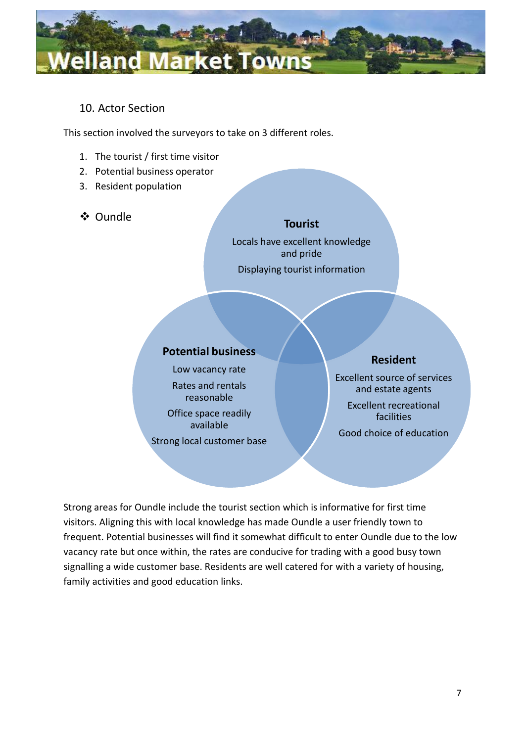

# 10. Actor Section

This section involved the surveyors to take on 3 different roles.

- 1. The tourist / first time visitor
- 2. Potential business operator
- 3. Resident population
- Oundle

### **Tourist**

Locals have excellent knowledge and pride Displaying tourist information

## **Potential business**

Low vacancy rate Rates and rentals reasonable Office space readily available Strong local customer base

# **Resident**

Excellent source of services and estate agents

Excellent recreational facilities

Good choice of education

Strong areas for Oundle include the tourist section which is informative for first time visitors. Aligning this with local knowledge has made Oundle a user friendly town to frequent. Potential businesses will find it somewhat difficult to enter Oundle due to the low vacancy rate but once within, the rates are conducive for trading with a good busy town signalling a wide customer base. Residents are well catered for with a variety of housing, family activities and good education links.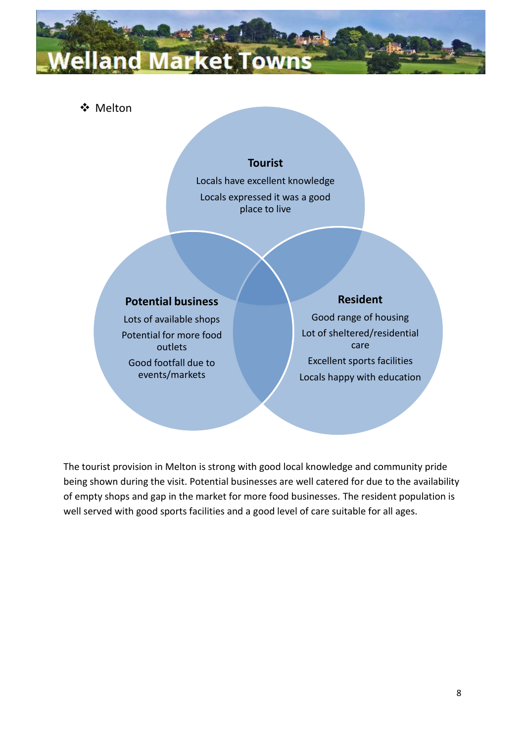# and Market Towns

# Melton

## **Tourist**

Locals have excellent knowledge

Locals expressed it was a good place to live

## **Potential business**

Lots of available shops Potential for more food outlets

Good footfall due to events/markets

#### **Resident**

Good range of housing Lot of sheltered/residential care Excellent sports facilities Locals happy with education

The tourist provision in Melton is strong with good local knowledge and community pride being shown during the visit. Potential businesses are well catered for due to the availability of empty shops and gap in the market for more food businesses. The resident population is well served with good sports facilities and a good level of care suitable for all ages.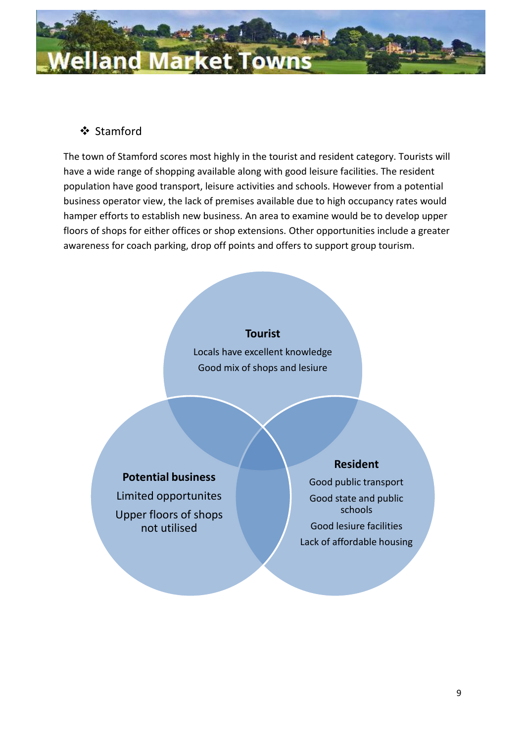

# Stamford

The town of Stamford scores most highly in the tourist and resident category. Tourists will have a wide range of shopping available along with good leisure facilities. The resident population have good transport, leisure activities and schools. However from a potential business operator view, the lack of premises available due to high occupancy rates would hamper efforts to establish new business. An area to examine would be to develop upper floors of shops for either offices or shop extensions. Other opportunities include a greater awareness for coach parking, drop off points and offers to support group tourism.

#### **Tourist**

Locals have excellent knowledge Good mix of shops and lesiure

# **Potential business**

Limited opportunites Upper floors of shops not utilised

## **Resident**

Good public transport Good state and public schools Good lesiure facilities Lack of affordable housing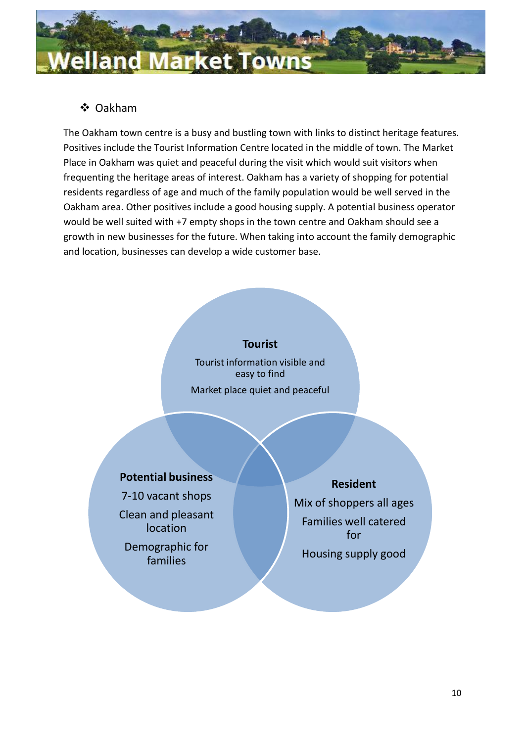

# Oakham

The Oakham town centre is a busy and bustling town with links to distinct heritage features. Positives include the Tourist Information Centre located in the middle of town. The Market Place in Oakham was quiet and peaceful during the visit which would suit visitors when frequenting the heritage areas of interest. Oakham has a variety of shopping for potential residents regardless of age and much of the family population would be well served in the Oakham area. Other positives include a good housing supply. A potential business operator would be well suited with +7 empty shops in the town centre and Oakham should see a growth in new businesses for the future. When taking into account the family demographic and location, businesses can develop a wide customer base.

#### **Tourist**

Tourist information visible and easy to find Market place quiet and peaceful

# **Potential business**

7-10 vacant shops Clean and pleasant location

Demographic for families

#### **Resident**

Mix of shoppers all ages Families well catered for Housing supply good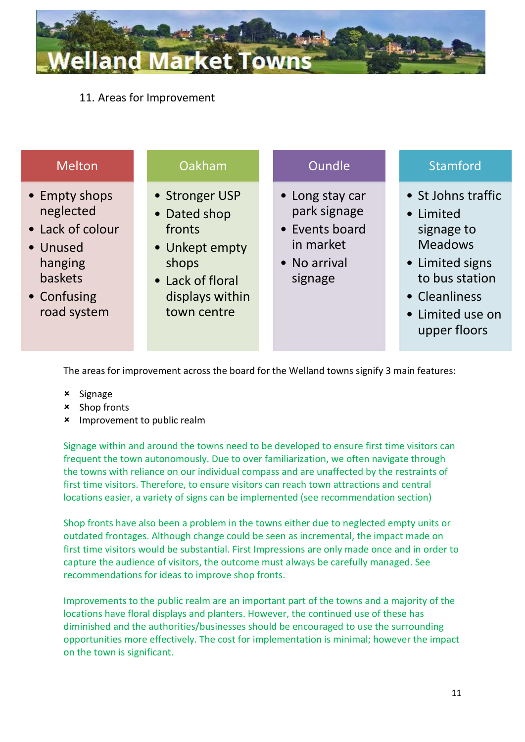

11. Areas for Improvement

| <b>Melton</b>                                                                                                  | Oakham                                                                                                                    | <b>Oundle</b>                                                                             | <b>Stamford</b>                                                                                                                                           |
|----------------------------------------------------------------------------------------------------------------|---------------------------------------------------------------------------------------------------------------------------|-------------------------------------------------------------------------------------------|-----------------------------------------------------------------------------------------------------------------------------------------------------------|
| • Empty shops<br>neglected<br>• Lack of colour<br>• Unused<br>hanging<br>baskets<br>• Confusing<br>road system | • Stronger USP<br>• Dated shop<br>fronts<br>• Unkept empty<br>shops<br>• Lack of floral<br>displays within<br>town centre | • Long stay car<br>park signage<br>• Events board<br>in market<br>• No arrival<br>signage | • St Johns traffic<br>• Limited<br>signage to<br><b>Meadows</b><br>• Limited signs<br>to bus station<br>• Cleanliness<br>• Limited use on<br>upper floors |

The areas for improvement across the board for the Welland towns signify 3 main features:

- **x** Signage
- **x** Shop fronts
- **\*** Improvement to public realm

Signage within and around the towns need to be developed to ensure first time visitors can frequent the town autonomously. Due to over familiarization, we often navigate through the towns with reliance on our individual compass and are unaffected by the restraints of first time visitors. Therefore, to ensure visitors can reach town attractions and central locations easier, a variety of signs can be implemented (see recommendation section)

Shop fronts have also been a problem in the towns either due to neglected empty units or outdated frontages. Although change could be seen as incremental, the impact made on first time visitors would be substantial. First Impressions are only made once and in order to capture the audience of visitors, the outcome must always be carefully managed. See recommendations for ideas to improve shop fronts.

Improvements to the public realm are an important part of the towns and a majority of the locations have floral displays and planters. However, the continued use of these has diminished and the authorities/businesses should be encouraged to use the surrounding opportunities more effectively. The cost for implementation is minimal; however the impact on the town is significant.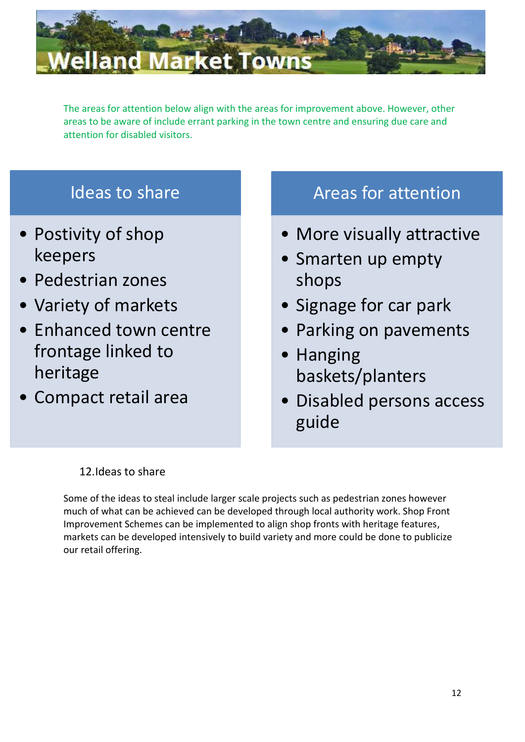

The areas for attention below align with the areas for improvement above. However, other areas to be aware of include errant parking in the town centre and ensuring due care and attention for disabled visitors.

# Ideas to share

- Postivity of shop keepers
- Pedestrian zones
- Variety of markets
- Enhanced town centre frontage linked to heritage
- Compact retail area

# Areas for attention

- More visually attractive
- Smarten up empty shops
- Signage for car park
- Parking on pavements
- Hanging baskets/planters
- Disabled persons access guide

# 12.Ideas to share

Some of the ideas to steal include larger scale projects such as pedestrian zones however much of what can be achieved can be developed through local authority work. Shop Front Improvement Schemes can be implemented to align shop fronts with heritage features, markets can be developed intensively to build variety and more could be done to publicize our retail offering.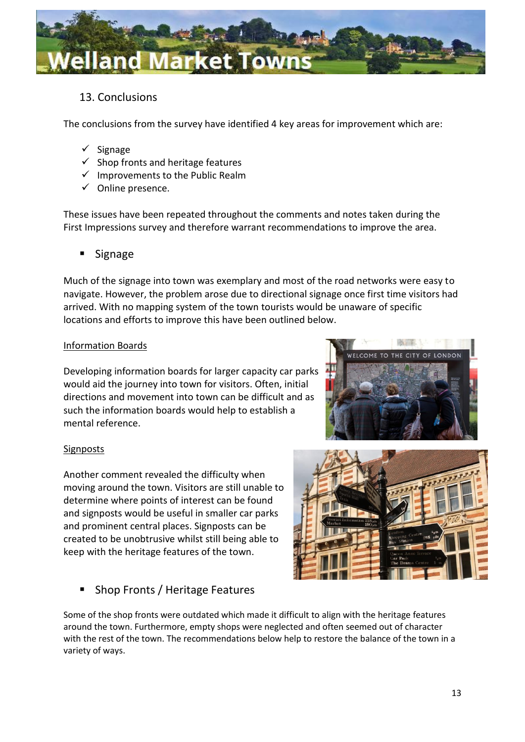

# 13. Conclusions

The conclusions from the survey have identified 4 key areas for improvement which are:

- $\checkmark$  Signage
- $\checkmark$  Shop fronts and heritage features
- $\checkmark$  Improvements to the Public Realm
- $\checkmark$  Online presence.

These issues have been repeated throughout the comments and notes taken during the First Impressions survey and therefore warrant recommendations to improve the area.

**E** Signage

Much of the signage into town was exemplary and most of the road networks were easy to navigate. However, the problem arose due to directional signage once first time visitors had arrived. With no mapping system of the town tourists would be unaware of specific locations and efforts to improve this have been outlined below.

#### Information Boards

Developing information boards for larger capacity car parks would aid the journey into town for visitors. Often, initial directions and movement into town can be difficult and as such the information boards would help to establish a mental reference.



#### **Signposts**

Another comment revealed the difficulty when moving around the town. Visitors are still unable to determine where points of interest can be found and signposts would be useful in smaller car parks and prominent central places. Signposts can be created to be unobtrusive whilst still being able to keep with the heritage features of the town.



## Shop Fronts / Heritage Features

Some of the shop fronts were outdated which made it difficult to align with the heritage features around the town. Furthermore, empty shops were neglected and often seemed out of character with the rest of the town. The recommendations below help to restore the balance of the town in a variety of ways.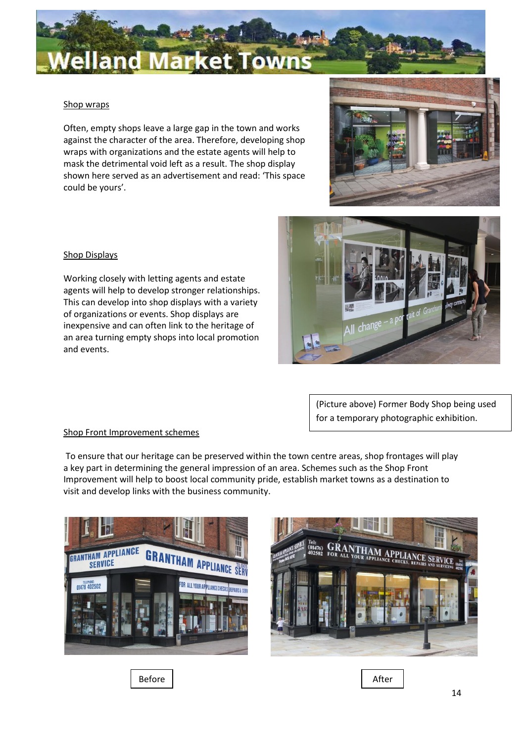

#### Shop wraps

Often, empty shops leave a large gap in the town and works against the character of the area. Therefore, developing shop wraps with organizations and the estate agents will help to mask the detrimental void left as a result. The shop display shown here served as an advertisement and read: 'This space could be yours'.



#### Shop Displays

Working closely with letting agents and estate agents will help to develop stronger relationships. This can develop into shop displays with a variety of organizations or events. Shop displays are inexpensive and can often link to the heritage of an area turning empty shops into local promotion and events.

> (Picture above) Former Body Shop being used for a temporary photographic exhibition.

change

#### Shop Front Improvement schemes

To ensure that our heritage can be preserved within the town centre areas, shop frontages will play a key part in determining the general impression of an area. Schemes such as the Shop Front Improvement will help to boost local community pride, establish market towns as a destination to visit and develop links with the business community.